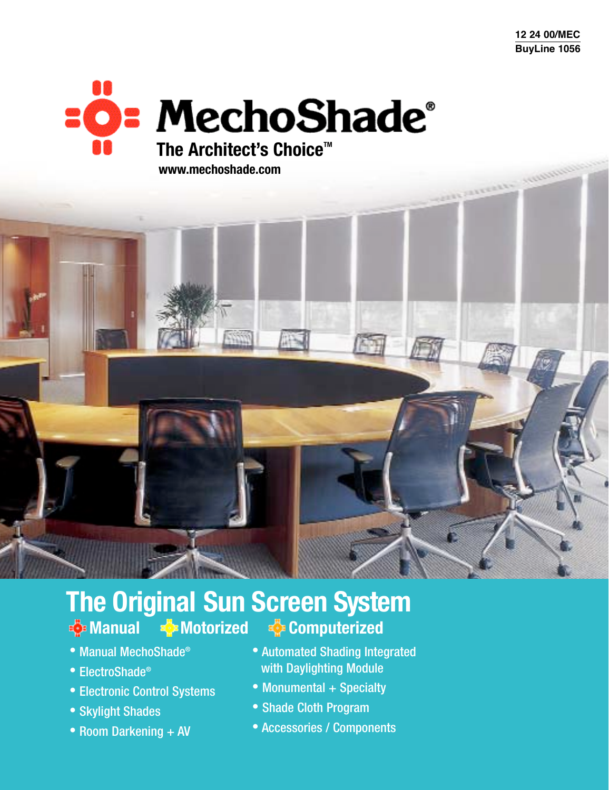**12 24 00/MEC BuyLine 1056**

**Comments Security** 

# **EO: MechoShade**® **The Architect's Choice™ www.mechoshade.com**

 $\mathcal{L}^{\text{max}}_{\text{max}}$ 

# **The Original Sun Screen System Motorized**  $\frac{1}{2}$  **Computerized**

- Manual MechoShade®
- ElectroShade®
- Electronic Control Systems
- Skylight Shades
- Room Darkening + AV
- Automated Shading Integrated with Daylighting Module
- Monumental + Specialty
- Shade Cloth Program
- Accessories / Components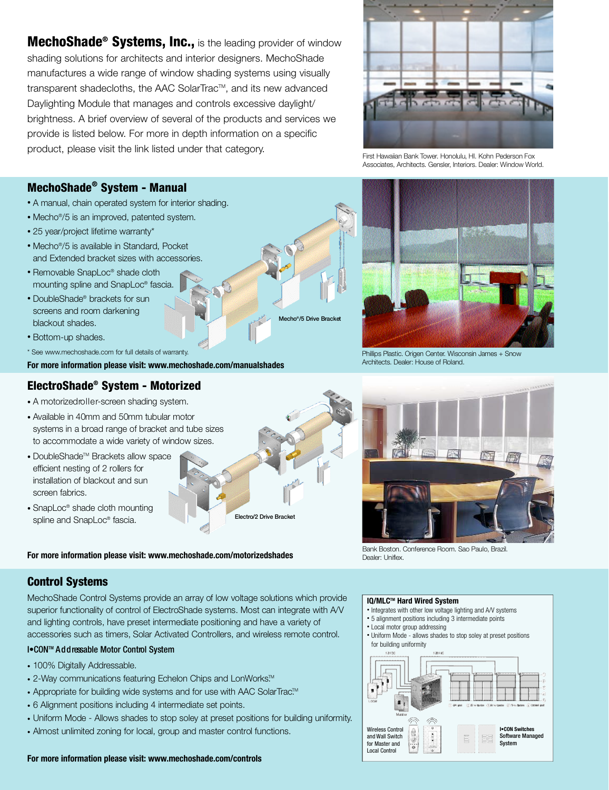MechoShade<sup>®</sup> Systems, Inc., is the leading provider of window shading solutions for architects and interior designers. MechoShade manufactures a wide range of window shading systems using visually transparent shadecloths, the AAC SolarTrac™, and its new advanced Daylighting Module that manages and controls excessive daylight/ brightness. A brief overview of several of the products and services we provide is listed below. For more in depth information on a specific product, please visit the link listed under that category.



First Hawaiian Bank Tower, Honolulu, HI. Kohn Pederson Fox Associates, Architects, Gensler, Interiors, Dealer: Window World.

## MechoShade® System - Manual

- A manual, chain operated system for interior shading.
- Mecho<sup>®</sup>/5 is an improved, patented system.
- 25 year/project lifetime warranty\*
- Mecho<sup>®</sup>/5 is available in Standard, Pocket and Extended bracket sizes with accessories.
- Removable SnapLoc® shade cloth mounting spline and SnapLoc® fascia.
- DoubleShade® brackets for sun screens and room darkening blackout shades.
- Bottom-up shades.
- \* See www.mechoshade.com for full details of warranty.

**For more information please visit: www.mechoshade.com/manualshades**

## ElectroShade® System - Motorized

- A motorized roller-screen shading system.
- Available in 40mm and 50mm tubular motor systems in a broad range of bracket and tube sizes to accommodate a wide variety of window sizes.
- $\bullet$  DoubleShade<sup>™</sup> Brackets allow space efficient nesting of 2 rollers for installation of blackout and sun screen fabrics.
- SnapLoc<sup>®</sup> shade cloth mounting spline and SnapLoc® fascia.

**For more information please visit: www.mechoshade.com/motorizedshades**

Phillips Plastic. Origen Center. Wisconsin James + Snow Architects. Dealer: House of Roland.

Mecho<sup>®</sup>/5 Drive Brack

Electro/2 Drive Bracket



Bank Boston. Conference Room. Sao Paulo, Brazil. Dealer: Uniflex.

#### **Control Systems**

MechoShade Control Systems provide an array of low voltage solutions which provide superior functionality of control of ElectroShade systems. Most can integrate with A/V and lighting controls, have preset intermediate positioning and have a variety of accessories such as timers, Solar Activated Controllers, and wireless remote control.

#### I. CON™ Addressable Motor Control System

- 100% Digitally Addressable.
- 2-Way communications featuring Echelon Chips and LonWorks $\mathbb{M}$
- Appropriate for building wide systems and for use with AAC SolarTrac<sup>™</sup>
- 6 Alignment positions including 4 intermediate set points.
- Uniform Mode Allows shades to stop soley at preset positions for building uniformity.
- Almost unlimited zoning for local, group and master control functions.

#### **IQ/MLCTM Hard Wired System**

- Integrates with other low voltage lighting and A/V systems
- 5 alignment positions including 3 intermediate points
- Local motor group addressing
- Uniform Mode allows shades to stop soley at preset positions for building uniformity



#### **For more information please visit: www.mechoshade.com/controls**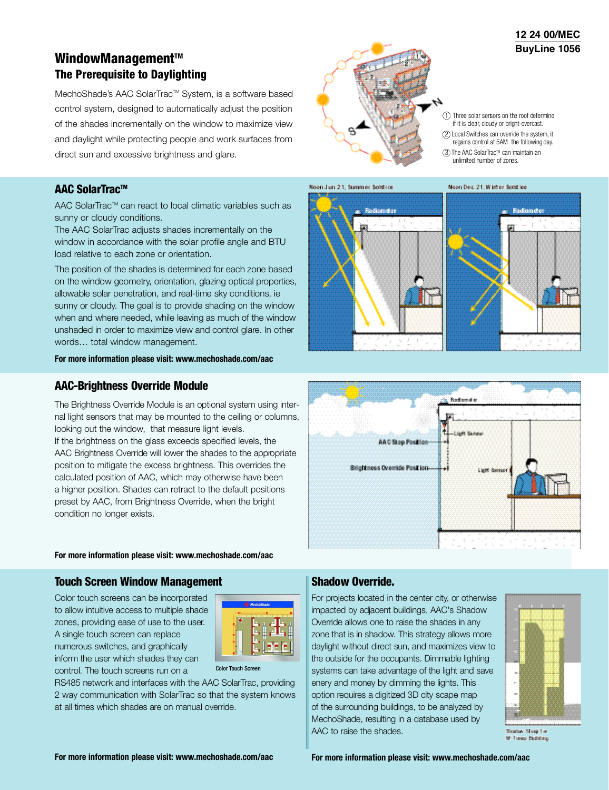# WindowManagement™ The Prerequisite to Daylighting

MechoShade's AAC SolarTrac™ System, is a software based control system, designed to automatically adjust the position of the shades incrementally on the window to maximize view and daylight while protecting people and work surfaces from direct sun and excessive brightness and glare.

### AAC SolarTrac™

AAC SolarTrac™ can react to local climatic variables such as sunny or cloudy conditions.

The AAC SolarTrac adjusts shades incrementally on the window in accordance with the solar profile angle and BTU load relative to each zone or orientation.

The position of the shades is determined for each zone based on the window geometry, orientation, glazing optical properties, allowable solar penetration, and real-time sky conditions, ie sunny or cloudy. The goal is to provide shading on the window when and where needed, while leaving as much of the window unshaded in order to maximize view and control glare. In other words… total window management.

#### **For more information please visit: www.mechoshade.com/aac**

#### A AC-Brightness Override Module

The Brightness Override Module is an optional system using internal light sensors that may be mounted to the ceiling or columns, looking out the window, that measure light levels. If the brightness on the glass exceeds specified levels, the AAC Brightness Override will lower the shades to the appropriate position to mitigate the excess brightness. This overrides the calculated position of AAC, which may otherwise have been a higher position. Shades can retract to the default positions preset by AAC, from Brightness Override, when the bright condition no longer exists.

#### **For more information please visit: www.mechoshade.com/aac**

#### Touch Screen Window Management

Color touch screens can be incorporated to allow intuitive access to multiple shade zones, providing ease of use to the user. A single touch screen can replace numerous switches, and graphically inform the user which shades they can control. The touch screens run on a



Color Touch Screen

RS485 network and interfaces with the AAC SolarTrac, providing 2 way communication with SolarTrac so that the system knows at all times which shades are on manual override.



#### 1 Three solar sensors on the roof determine if it is clear, cloudy or bright-overcast.

- (2) Local Switches can override the system, it regains control at 5AM the following day.
- $(3)$  The AAC SolarTrac<sup>™</sup> can maintain an unlimited number of zones.





#### Shadow Override.

For projects located in the center city, or otherwise impacted by adjacent buildings, AAC's Shadow Override allows one to raise the shades in any zone that is in shadow. This strategy allows more daylight without direct sun, and maximizes view to the outside for the occupants. Dimmable lighting systems can take advantage of the light and save enery and money by dimming the lights. This option requires a digitized 3D city scape map of the surrounding buildings, to be analyzed by MechoShade, resulting in a database used by AAC to raise the shades.



Studey Study La **SF Times Building** 

**12 24 00/MEC BuyLine 1056**